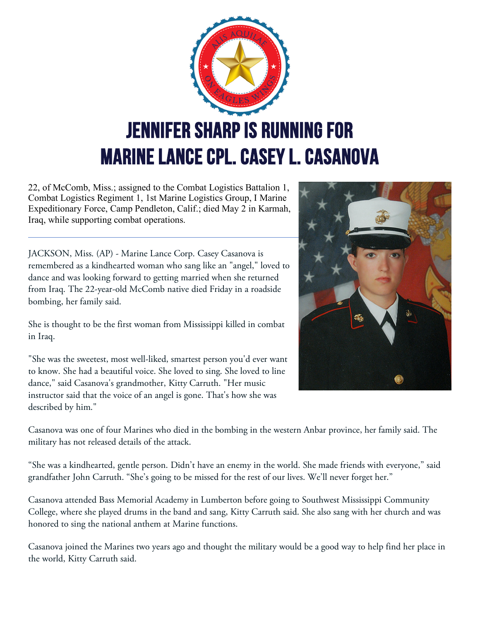

22, of McComb, Miss.; assigned to the Combat Logistics Battalion 1, Combat Logistics Regiment 1, 1st Marine Logistics Group, I Marine Expeditionary Force, Camp Pendleton, Calif.; died May 2 in Karmah, Iraq, while supporting combat operations.

JACKSON, Miss. (AP) - Marine Lance Corp. Casey Casanova is remembered as a kindhearted woman who sang like an "angel," loved to dance and was looking forward to getting married when she returned from Iraq. The 22-year-old McComb native died Friday in a roadside bombing, her family said.

She is thought to be the first woman from Mississippi killed in combat in Iraq.

"She was the sweetest, most well-liked, smartest person you'd ever want to know. She had a beautiful voice. She loved to sing. She loved to line dance," said Casanova's grandmother, Kitty Carruth. "Her music instructor said that the voice of an angel is gone. That's how she was described by him."



Casanova was one of four Marines who died in the bombing in the western Anbar province, her family said. The military has not released details of the attack.

"She was a kindhearted, gentle person. Didn't have an enemy in the world. She made friends with everyone," said grandfather John Carruth. "She's going to be missed for the rest of our lives. We'll never forget her."

Casanova attended Bass Memorial Academy in Lumberton before going to Southwest Mississippi Community College, where she played drums in the band and sang, Kitty Carruth said. She also sang with her church and was honored to sing the national anthem at Marine functions.

Casanova joined the Marines two years ago and thought the military would be a good way to help find her place in the world, Kitty Carruth said.